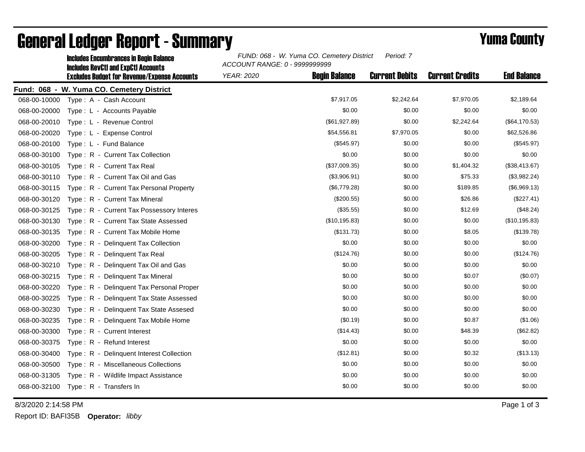|                                           | <b>Includes RevCtI and ExpCtI Accounts</b><br><b>Excludes Budget for Revenue/Expense Accounts</b> | ACCOUNT RANGE: 0 - 9999999999 |                      |                       |                        |                    |  |  |  |
|-------------------------------------------|---------------------------------------------------------------------------------------------------|-------------------------------|----------------------|-----------------------|------------------------|--------------------|--|--|--|
|                                           |                                                                                                   | <b>YEAR: 2020</b>             | <b>Begin Balance</b> | <b>Current Debits</b> | <b>Current Credits</b> | <b>End Balance</b> |  |  |  |
| Fund: 068 - W. Yuma CO. Cemetery District |                                                                                                   |                               |                      |                       |                        |                    |  |  |  |
| 068-00-10000                              | Type: A - Cash Account                                                                            |                               | \$7,917.05           | \$2,242.64            | \$7,970.05             | \$2,189.64         |  |  |  |
| 068-00-20000                              | Type: L - Accounts Payable                                                                        |                               | \$0.00               | \$0.00                | \$0.00                 | \$0.00             |  |  |  |
| 068-00-20010                              | Type: L - Revenue Control                                                                         |                               | (\$61,927.89)        | \$0.00                | \$2,242.64             | (\$64,170.53)      |  |  |  |
| 068-00-20020                              | Type: L - Expense Control                                                                         |                               | \$54,556.81          | \$7,970.05            | \$0.00                 | \$62,526.86        |  |  |  |
| 068-00-20100                              | Type: L - Fund Balance                                                                            |                               | (\$545.97)           | \$0.00                | \$0.00                 | (\$545.97)         |  |  |  |
| 068-00-30100                              | Type: R - Current Tax Collection                                                                  |                               | \$0.00               | \$0.00                | \$0.00                 | \$0.00             |  |  |  |
| 068-00-30105                              | Type: R - Current Tax Real                                                                        |                               | (\$37,009.35)        | \$0.00                | \$1,404.32             | (\$38,413.67)      |  |  |  |
| 068-00-30110                              | Type: R - Current Tax Oil and Gas                                                                 |                               | (\$3,906.91)         | \$0.00                | \$75.33                | (\$3,982.24)       |  |  |  |
| 068-00-30115                              | Type: R - Current Tax Personal Property                                                           |                               | (\$6,779.28)         | \$0.00                | \$189.85               | (\$6,969.13)       |  |  |  |
| 068-00-30120                              | Type: R - Current Tax Mineral                                                                     |                               | (\$200.55)           | \$0.00                | \$26.86                | (\$227.41)         |  |  |  |
| 068-00-30125                              | Type: R - Current Tax Possessory Interes                                                          |                               | (\$35.55)            | \$0.00                | \$12.69                | (\$48.24)          |  |  |  |
| 068-00-30130                              | Type: R - Current Tax State Assessed                                                              |                               | (\$10, 195.83)       | \$0.00                | \$0.00                 | (\$10, 195.83)     |  |  |  |
| 068-00-30135                              | Type: R - Current Tax Mobile Home                                                                 |                               | (\$131.73)           | \$0.00                | \$8.05                 | (\$139.78)         |  |  |  |
| 068-00-30200                              | Type: R - Delinguent Tax Collection                                                               |                               | \$0.00               | \$0.00                | \$0.00                 | \$0.00             |  |  |  |
| 068-00-30205                              | Type: R - Delinquent Tax Real                                                                     |                               | (\$124.76)           | \$0.00                | \$0.00                 | (\$124.76)         |  |  |  |
| 068-00-30210                              | Type: R - Delinquent Tax Oil and Gas                                                              |                               | \$0.00               | \$0.00                | \$0.00                 | \$0.00             |  |  |  |
| 068-00-30215                              | Type: R - Delinquent Tax Mineral                                                                  |                               | \$0.00               | \$0.00                | \$0.07                 | (\$0.07)           |  |  |  |
| 068-00-30220                              | Type: R - Delinquent Tax Personal Proper                                                          |                               | \$0.00               | \$0.00                | \$0.00                 | \$0.00             |  |  |  |
| 068-00-30225                              | Type: R - Delinquent Tax State Assessed                                                           |                               | \$0.00               | \$0.00                | \$0.00                 | \$0.00             |  |  |  |
| 068-00-30230                              | Type: R - Delinquent Tax State Assesed                                                            |                               | \$0.00               | \$0.00                | \$0.00                 | \$0.00             |  |  |  |
| 068-00-30235                              | Type: R - Delinquent Tax Mobile Home                                                              |                               | (\$0.19)             | \$0.00                | \$0.87                 | (\$1.06)           |  |  |  |
| 068-00-30300                              | Type: R - Current Interest                                                                        |                               | (\$14.43)            | \$0.00                | \$48.39                | (\$62.82)          |  |  |  |
| 068-00-30375                              | Type: R - Refund Interest                                                                         |                               | \$0.00               | \$0.00                | \$0.00                 | \$0.00             |  |  |  |
| 068-00-30400                              | Type: R - Delinquent Interest Collection                                                          |                               | (\$12.81)            | \$0.00                | \$0.32                 | (\$13.13)          |  |  |  |
| 068-00-30500                              | Type: R - Miscellaneous Collections                                                               |                               | \$0.00               | \$0.00                | \$0.00                 | \$0.00             |  |  |  |
| 068-00-31305                              | Type: R - Wildlife Impact Assistance                                                              |                               | \$0.00               | \$0.00                | \$0.00                 | \$0.00             |  |  |  |
| 068-00-32100                              | Type: R - Transfers In                                                                            |                               | \$0.00               | \$0.00                | \$0.00                 | \$0.00             |  |  |  |
|                                           |                                                                                                   |                               |                      |                       |                        |                    |  |  |  |

Includes Encumbrances in Begin Balance *FUND: 068 - W. Yuma CO. Cemetery District*

## General Ledger Report - Summary **Example 2018** Yuma County

Report ID: BAFI35B **Operator:** *libby*

*Period: 7*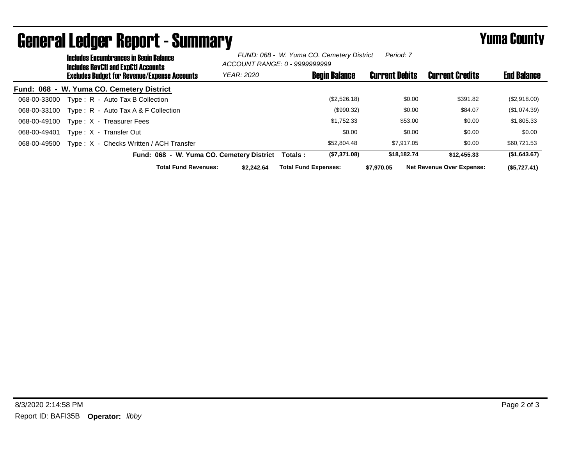| <b>Includes Encumbrances in Begin Balance</b><br><b>Includes RevCtI and ExpCtI Accounts</b> | FUND: 068 - W. Yuma CO. Cemetery District<br>Period: 7<br>ACCOUNT RANGE: 0 - 9999999999 |                             |                       |                                  |                    |  |
|---------------------------------------------------------------------------------------------|-----------------------------------------------------------------------------------------|-----------------------------|-----------------------|----------------------------------|--------------------|--|
| <b>Excludes Budget for Revenue/Expense Accounts</b>                                         | <b>YEAR: 2020</b>                                                                       | <b>Begin Balance</b>        | <b>Current Debits</b> | <b>Current Credits</b>           | <b>End Balance</b> |  |
| Fund: 068 - W. Yuma CO. Cemetery District                                                   |                                                                                         |                             |                       |                                  |                    |  |
| Type: R - Auto Tax B Collection<br>068-00-33000                                             |                                                                                         | (\$2,526.18)                | \$0.00                | \$391.82                         | (\$2,918.00)       |  |
| Type: R - Auto Tax A & F Collection<br>068-00-33100                                         |                                                                                         | (\$990.32)                  | \$0.00                | \$84.07                          | (\$1,074.39)       |  |
| Type: X - Treasurer Fees<br>068-00-49100                                                    |                                                                                         | \$1.752.33                  | \$53.00               | \$0.00                           | \$1,805.33         |  |
| Type: X - Transfer Out<br>068-00-49401                                                      |                                                                                         | \$0.00                      | \$0.00                | \$0.00                           | \$0.00             |  |
| Type: X - Checks Written / ACH Transfer<br>068-00-49500                                     |                                                                                         | \$52,804.48                 | \$7.917.05            | \$0.00                           | \$60,721.53        |  |
| Fund: 068 - W. Yuma CO. Cemetery District                                                   |                                                                                         | (\$7,371.08)<br>Totals :    | \$18.182.74           | \$12,455.33                      | (\$1,643.67)       |  |
| <b>Total Fund Revenues:</b>                                                                 | \$2.242.64                                                                              | <b>Total Fund Expenses:</b> | \$7,970.05            | <b>Net Revenue Over Expense:</b> | (\$5,727.41)       |  |

## General Ledger Report - Summary **Example 2018** Yuma County